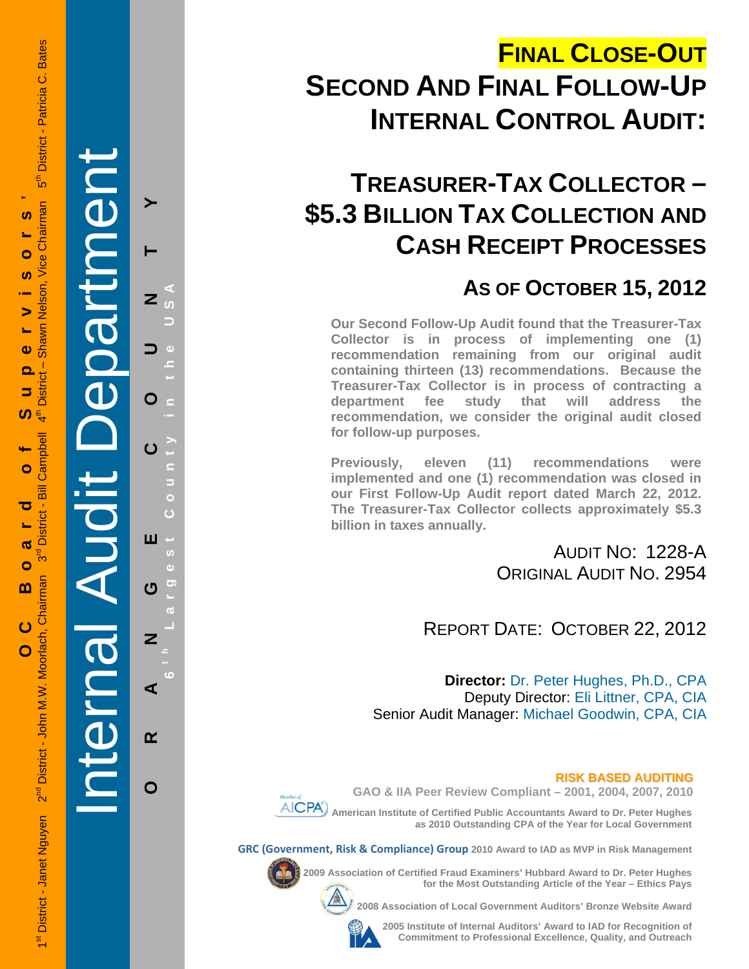# **FINAL CLOSE-OUT SECOND AND FINAL FOLLOW-UP INTERNAL CONTROL AUDIT:**

## **TREASURER-TAX COLLECTOR – \$5.3 BILLION TAX COLLECTION AND CASH RECEIPT PROCESSES**

### **AS OF OCTOBER 15, 2012**

**Our Second Follow-Up Audit found that the Treasurer-Tax Collector is in process of implementing one (1) recommendation remaining from our original audit containing thirteen (13) recommendations. Because the Treasurer-Tax Collector is in process of contracting a department fee study that will address the recommendation, we consider the original audit closed for follow-up purposes.** 

**Previously, eleven (11) recommendations were implemented and one (1) recommendation was closed in our First Follow-Up Audit report dated March 22, 2012. The Treasurer-Tax Collector collects approximately \$5.3 billion in taxes annually.** 

> AUDIT NO: 1228-A ORIGINAL AUDIT NO. 2954

REPORT DATE: OCTOBER 22, 2012

**Director:** Dr. Peter Hughes, Ph.D., CPA Deputy Director: Eli Littner, CPA, CIA Senior Audit Manager: Michael Goodwin, CPA, CIA

#### **RISK BASED AUDITING**

 **GAO & IIA Peer Review Compliant – 2001, 2004, 2007, 2010** 

**AICPA** American Institute of Certified Public Accountants Award to Dr. Peter Hughes **as 2010 Outstanding CPA of the Year for Local Government** 

**GRC (Government, Risk & Compliance) Group 2010 Award to IAD as MVP in Risk Management** 



**2009 Association of Certified Fraud Examiners' Hubbard Award to Dr. Peter Hughes for the Most Outstanding Article of the Year – Ethics Pays** 

**2008 Association of Local Government Auditors' Bronze Website Award** 



**2005 Institute of Internal Auditors' Award to IAD for Recognition of Commitment to Professional Excellence, Quality, and Outreach**

Internal Audit Department

**ORANGE COUNTY 6 t h Lar**

ш

ෆ

Z

⋖

 $\alpha$ 

O

**g**

**est Count**

**y in the USA** 

 $\overline{z}$ 

O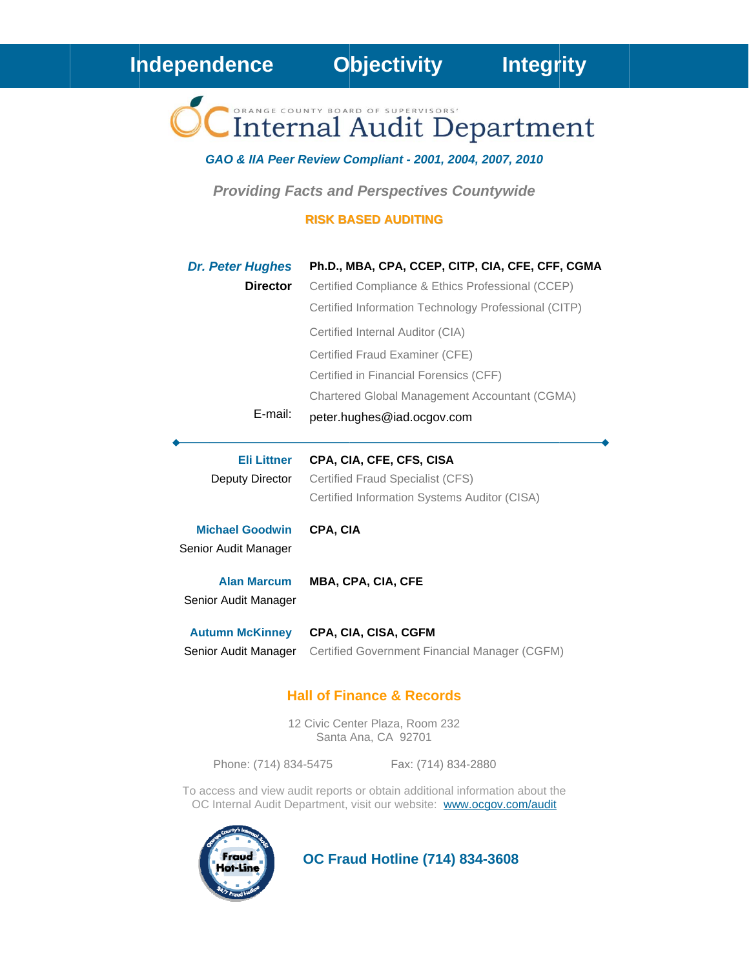### Independence

**Objectivity** 

Internal Audit Department

#### GAO & IIA Peer Review Compliant - 2001, 2004, 2007, 2010

**Providing Facts and Perspectives Countywide** 

#### **RISK BASED AUDITING**

| <b>Dr. Peter Hughes</b> | Ph.D., MBA, CPA, CCEP, CITP, CIA, CFE, CFF, CGMA     |
|-------------------------|------------------------------------------------------|
| <b>Director</b>         | Certified Compliance & Ethics Professional (CCEP)    |
|                         | Certified Information Technology Professional (CITP) |
|                         | Certified Internal Auditor (CIA)                     |
|                         | Certified Fraud Examiner (CFE)                       |
|                         | Certified in Financial Forensics (CFF)               |
|                         | Chartered Global Management Accountant (CGMA)        |
| $E$ -mail:              | peter.hughes@iad.ocgov.com                           |

#### **Eli Littner** CPA, CIA, CFE, CFS, CISA

Deputy Director **Certified Fraud Specialist (CFS)** Certified Information Systems Auditor (CISA)

**Michael Goodwin** CPA, CIA

Senior Audit Manager

**Alan Marcum** MBA, CPA, CIA, CFE Senior Audit Manager

**Autumn McKinney** CPA, CIA, CISA, CGFM Senior Audit Manager Certified Government Financial Manager (CGFM)

#### **Hall of Finance & Records**

12 Civic Center Plaza, Room 232 Santa Ana, CA 92701

Phone: (714) 834-5475

Fax: (714) 834-2880

To access and view audit reports or obtain additional information about the OC Internal Audit Department, visit our website: www.ocgov.com/audit



**OC Fraud Hotline (714) 834-3608**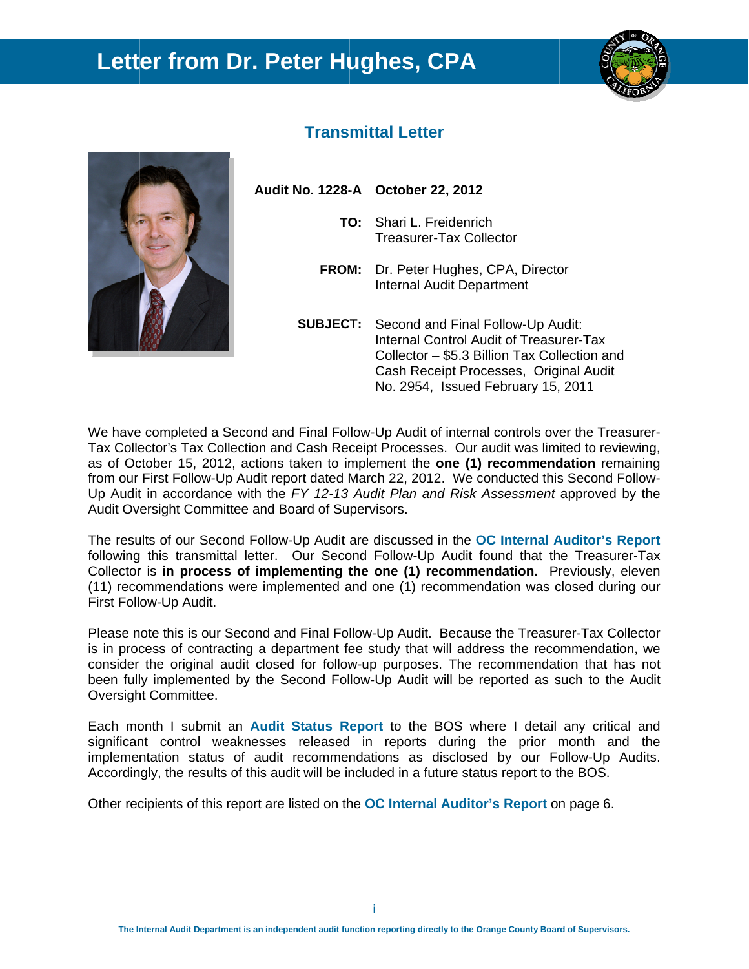### Letter from Dr. Peter Hughes, CPA





### **Transmittal Letter**

| Audit No. 1228-A October 22, 2012                                                |
|----------------------------------------------------------------------------------|
| TO: Shari L. Freidenrich<br><b>Treasurer-Tax Collector</b>                       |
| <b>FROM:</b> Dr. Peter Hughes, CPA, Director<br><b>Internal Audit Department</b> |
| SUR IECT: Second and Final Follow-Up Aud                                         |

Second and Final Follow-Up Audit: Internal Control Audit of Treasurer-Tax Collector - \$5.3 Billion Tax Collection and Cash Receipt Processes, Original Audit No. 2954, Issued February 15, 2011

We have completed a Second and Final Follow-Up Audit of internal controls over the Treasurer-Tax Collector's Tax Collection and Cash Receipt Processes. Our audit was limited to reviewing, as of October 15, 2012, actions taken to implement the one (1) recommendation remaining from our First Follow-Up Audit report dated March 22, 2012. We conducted this Second Follow-Up Audit in accordance with the FY 12-13 Audit Plan and Risk Assessment approved by the Audit Oversight Committee and Board of Supervisors.

The results of our Second Follow-Up Audit are discussed in the OC Internal Auditor's Report following this transmittal letter. Our Second Follow-Up Audit found that the Treasurer-Tax Collector is in process of implementing the one (1) recommendation. Previously, eleven (11) recommendations were implemented and one (1) recommendation was closed during our First Follow-Up Audit.

Please note this is our Second and Final Follow-Up Audit. Because the Treasurer-Tax Collector is in process of contracting a department fee study that will address the recommendation, we consider the original audit closed for follow-up purposes. The recommendation that has not been fully implemented by the Second Follow-Up Audit will be reported as such to the Audit Oversight Committee.

Each month I submit an Audit Status Report to the BOS where I detail any critical and significant control weaknesses released in reports during the prior month and the implementation status of audit recommendations as disclosed by our Follow-Up Audits. Accordingly, the results of this audit will be included in a future status report to the BOS.

Other recipients of this report are listed on the **OC** Internal Auditor's Report on page 6.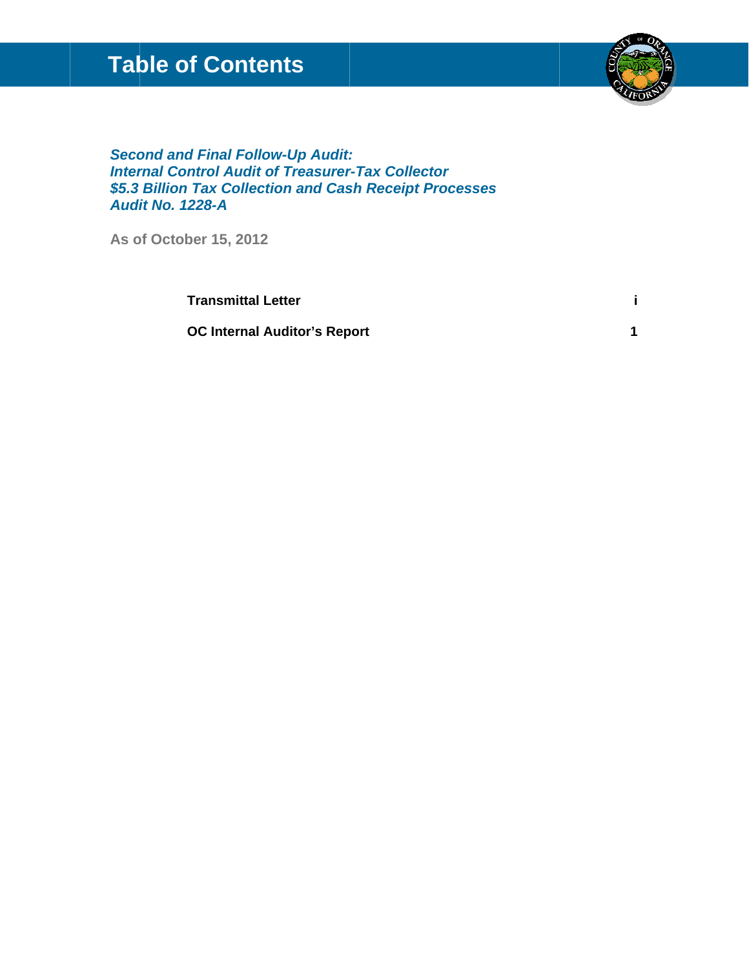## **Table of Contents**



#### **Second and Final Follow-Up Audit: Internal Control Audit of Treasurer-Tax Collector** \$5.3 Billion Tax Collection and Cash Receipt Processes **Audit No. 1228-A**

As of October 15, 2012

**Transmittal Letter**  $\mathbf{i}$ **OC Internal Auditor's Report**  $\mathbf 1$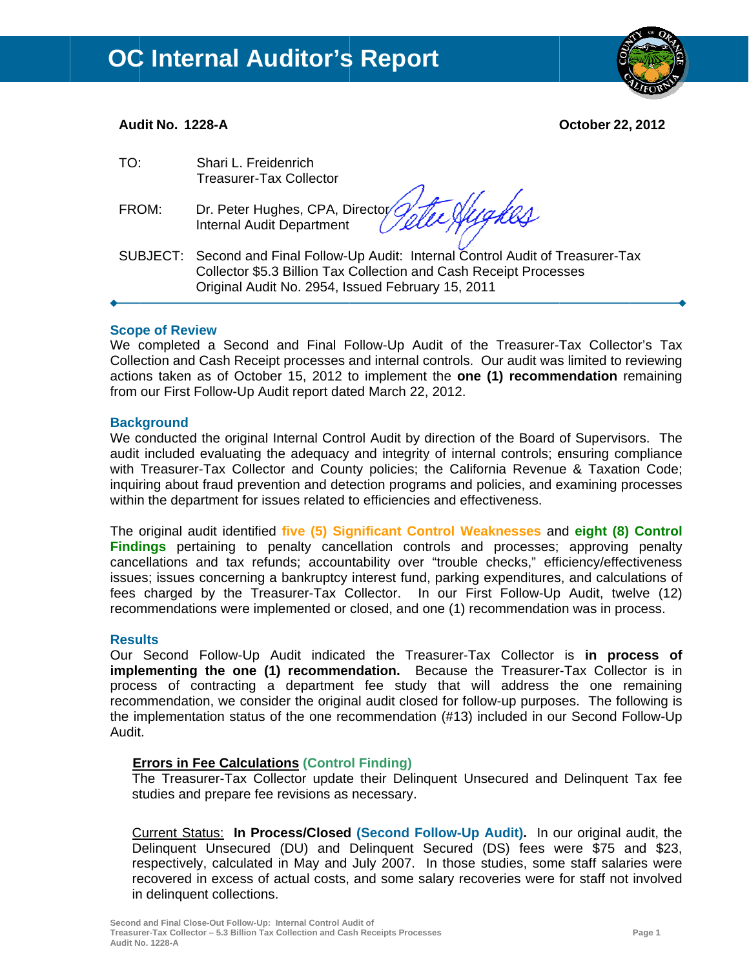

#### Audit No. 1228-A

**October 22, 2012** 

| TO:   | Shari L. Freidenrich<br><b>Treasurer-Tax Collector</b>                                                                                                                                                       |
|-------|--------------------------------------------------------------------------------------------------------------------------------------------------------------------------------------------------------------|
| FROM: | Dr. Peter Hughes, CPA, Director Tele Augustion                                                                                                                                                               |
|       | SUBJECT: Second and Final Follow-Up Audit: Internal Control Audit of Treasurer-Tax<br>Collector \$5.3 Billion Tax Collection and Cash Receipt Processes<br>Original Audit No. 2954, Issued February 15, 2011 |

#### **Scope of Review**

We completed a Second and Final Follow-Up Audit of the Treasurer-Tax Collector's Tax Collection and Cash Receipt processes and internal controls. Our audit was limited to reviewing actions taken as of October 15, 2012 to implement the one (1) recommendation remaining from our First Follow-Up Audit report dated March 22, 2012.

#### **Background**

We conducted the original Internal Control Audit by direction of the Board of Supervisors. The audit included evaluating the adequacy and integrity of internal controls; ensuring compliance with Treasurer-Tax Collector and County policies; the California Revenue & Taxation Code; inguiring about fraud prevention and detection programs and policies, and examining processes within the department for issues related to efficiencies and effectiveness.

The original audit identified five (5) Significant Control Weaknesses and eight (8) Control Findings pertaining to penalty cancellation controls and processes; approving penalty cancellations and tax refunds; accountability over "trouble checks," efficiency/effectiveness issues; issues concerning a bankruptcy interest fund, parking expenditures, and calculations of fees charged by the Treasurer-Tax Collector. In our First Follow-Up Audit, twelve (12) recommendations were implemented or closed, and one (1) recommendation was in process.

#### **Results**

Our Second Follow-Up Audit indicated the Treasurer-Tax Collector is in process of implementing the one (1) recommendation. Because the Treasurer-Tax Collector is in process of contracting a department fee study that will address the one remaining recommendation, we consider the original audit closed for follow-up purposes. The following is the implementation status of the one recommendation (#13) included in our Second Follow-Up Audit.

#### **Errors in Fee Calculations (Control Finding)**

The Treasurer-Tax Collector update their Delinguent Unsecured and Delinguent Tax fee studies and prepare fee revisions as necessary.

Current Status: In Process/Closed (Second Follow-Up Audit). In our original audit, the Delinquent Unsecured (DU) and Delinquent Secured (DS) fees were \$75 and \$23, respectively, calculated in May and July 2007. In those studies, some staff salaries were recovered in excess of actual costs, and some salary recoveries were for staff not involved in delinquent collections.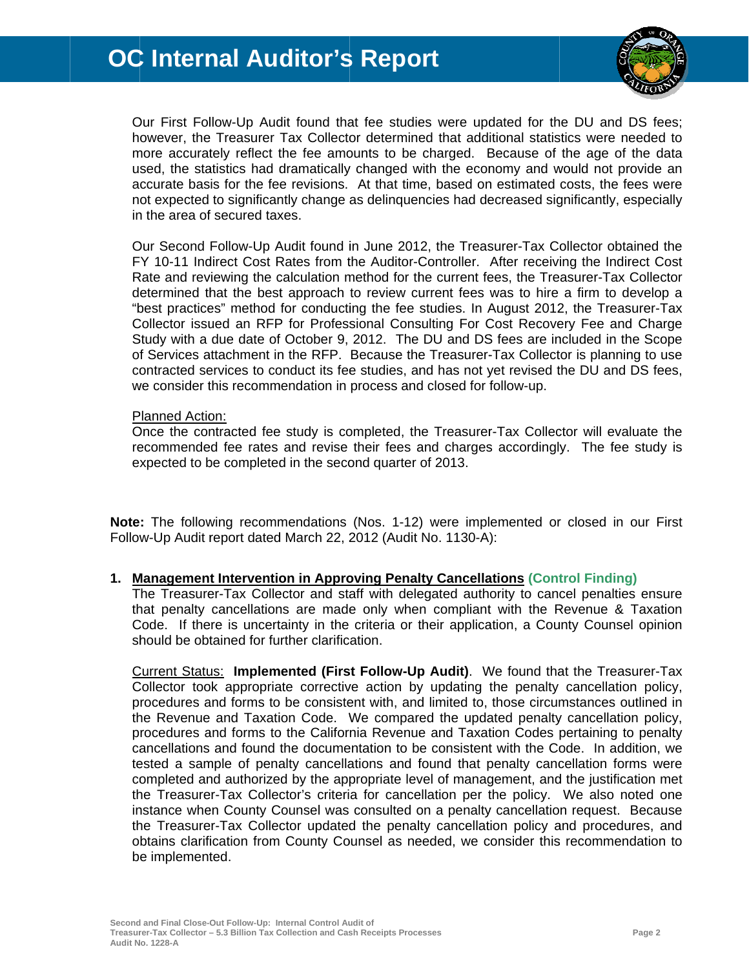

Our First Follow-Up Audit found that fee studies were updated for the DU and DS fees: however, the Treasurer Tax Collector determined that additional statistics were needed to more accurately reflect the fee amounts to be charged. Because of the age of the data used, the statistics had dramatically changed with the economy and would not provide an accurate basis for the fee revisions. At that time, based on estimated costs, the fees were not expected to significantly change as delinguencies had decreased significantly, especially in the area of secured taxes.

Our Second Follow-Up Audit found in June 2012, the Treasurer-Tax Collector obtained the FY 10-11 Indirect Cost Rates from the Auditor-Controller. After receiving the Indirect Cost Rate and reviewing the calculation method for the current fees, the Treasurer-Tax Collector determined that the best approach to review current fees was to hire a firm to develop a "best practices" method for conducting the fee studies. In August 2012, the Treasurer-Tax Collector issued an RFP for Professional Consulting For Cost Recovery Fee and Charge Study with a due date of October 9, 2012. The DU and DS fees are included in the Scope of Services attachment in the RFP. Because the Treasurer-Tax Collector is planning to use contracted services to conduct its fee studies, and has not yet revised the DU and DS fees, we consider this recommendation in process and closed for follow-up.

#### **Planned Action:**

Once the contracted fee study is completed, the Treasurer-Tax Collector will evaluate the recommended fee rates and revise their fees and charges accordingly. The fee study is expected to be completed in the second quarter of 2013.

Note: The following recommendations (Nos. 1-12) were implemented or closed in our First Follow-Up Audit report dated March 22, 2012 (Audit No. 1130-A):

#### 1. Management Intervention in Approving Penalty Cancellations (Control Finding)

The Treasurer-Tax Collector and staff with delegated authority to cancel penalties ensure that penalty cancellations are made only when compliant with the Revenue & Taxation Code. If there is uncertainty in the criteria or their application, a County Counsel opinion should be obtained for further clarification.

Current Status: Implemented (First Follow-Up Audit). We found that the Treasurer-Tax Collector took appropriate corrective action by updating the penalty cancellation policy, procedures and forms to be consistent with, and limited to, those circumstances outlined in the Revenue and Taxation Code. We compared the updated penalty cancellation policy, procedures and forms to the California Revenue and Taxation Codes pertaining to penalty cancellations and found the documentation to be consistent with the Code. In addition, we tested a sample of penalty cancellations and found that penalty cancellation forms were completed and authorized by the appropriate level of management, and the justification met the Treasurer-Tax Collector's criteria for cancellation per the policy. We also noted one instance when County Counsel was consulted on a penalty cancellation request. Because the Treasurer-Tax Collector updated the penalty cancellation policy and procedures, and obtains clarification from County Counsel as needed, we consider this recommendation to be implemented.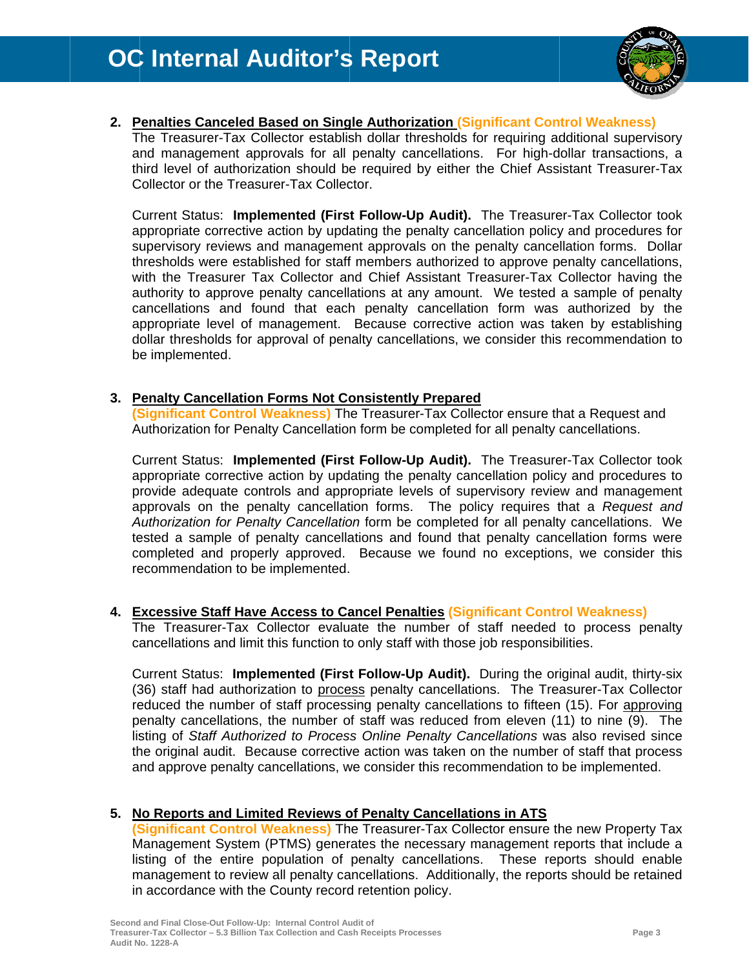

#### 2. Penalties Canceled Based on Single Authorization (Significant Control Weakness)

The Treasurer-Tax Collector establish dollar thresholds for requiring additional supervisory and management approvals for all penalty cancellations. For high-dollar transactions, a third level of authorization should be required by either the Chief Assistant Treasurer-Tax Collector or the Treasurer-Tax Collector.

Current Status: Implemented (First Follow-Up Audit). The Treasurer-Tax Collector took appropriate corrective action by updating the penalty cancellation policy and procedures for supervisory reviews and management approvals on the penalty cancellation forms. Dollar thresholds were established for staff members authorized to approve penalty cancellations, with the Treasurer Tax Collector and Chief Assistant Treasurer-Tax Collector having the authority to approve penalty cancellations at any amount. We tested a sample of penalty cancellations and found that each penalty cancellation form was authorized by the appropriate level of management. Because corrective action was taken by establishing dollar thresholds for approval of penalty cancellations, we consider this recommendation to be implemented.

#### 3. Penalty Cancellation Forms Not Consistently Prepared

(Significant Control Weakness) The Treasurer-Tax Collector ensure that a Request and Authorization for Penalty Cancellation form be completed for all penalty cancellations.

Current Status: Implemented (First Follow-Up Audit). The Treasurer-Tax Collector took appropriate corrective action by updating the penalty cancellation policy and procedures to provide adequate controls and appropriate levels of supervisory review and management approvals on the penalty cancellation forms. The policy requires that a Request and Authorization for Penalty Cancellation form be completed for all penalty cancellations. We tested a sample of penalty cancellations and found that penalty cancellation forms were completed and properly approved. Because we found no exceptions, we consider this recommendation to be implemented.

#### 4. Excessive Staff Have Access to Cancel Penalties (Significant Control Weakness)

The Treasurer-Tax Collector evaluate the number of staff needed to process penalty cancellations and limit this function to only staff with those job responsibilities.

Current Status: Implemented (First Follow-Up Audit). During the original audit, thirty-six (36) staff had authorization to process penalty cancellations. The Treasurer-Tax Collector reduced the number of staff processing penalty cancellations to fifteen (15). For approving penalty cancellations, the number of staff was reduced from eleven (11) to nine (9). The listing of Staff Authorized to Process Online Penalty Cancellations was also revised since the original audit. Because corrective action was taken on the number of staff that process and approve penalty cancellations, we consider this recommendation to be implemented.

#### 5. No Reports and Limited Reviews of Penalty Cancellations in ATS

(Significant Control Weakness) The Treasurer-Tax Collector ensure the new Property Tax Management System (PTMS) generates the necessary management reports that include a listing of the entire population of penalty cancellations. These reports should enable management to review all penalty cancellations. Additionally, the reports should be retained in accordance with the County record retention policy.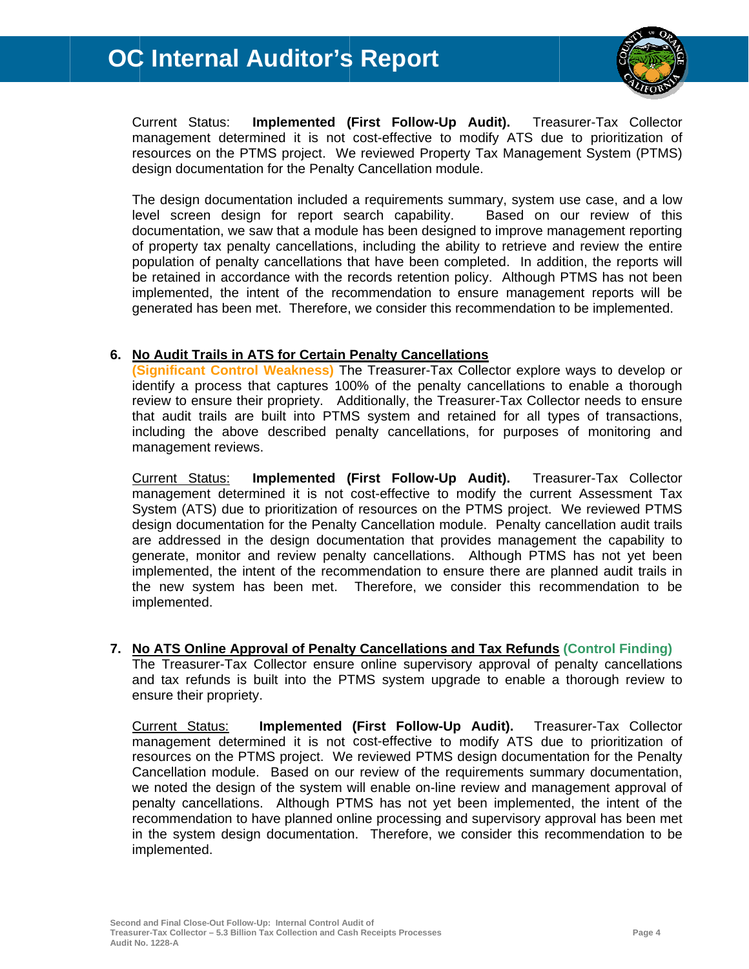

Implemented (First Follow-Up Audit). Current Status: Treasurer-Tax Collector management determined it is not cost-effective to modify ATS due to prioritization of resources on the PTMS project. We reviewed Property Tax Management System (PTMS) design documentation for the Penalty Cancellation module.

The design documentation included a requirements summary, system use case, and a low level screen design for report search capability. Based on our review of this documentation, we saw that a module has been designed to improve management reporting of property tax penalty cancellations, including the ability to retrieve and review the entire population of penalty cancellations that have been completed. In addition, the reports will be retained in accordance with the records retention policy. Although PTMS has not been implemented, the intent of the recommendation to ensure management reports will be generated has been met. Therefore, we consider this recommendation to be implemented.

#### 6. No Audit Trails in ATS for Certain Penalty Cancellations

(Significant Control Weakness) The Treasurer-Tax Collector explore ways to develop or identify a process that captures 100% of the penalty cancellations to enable a thorough review to ensure their propriety. Additionally, the Treasurer-Tax Collector needs to ensure that audit trails are built into PTMS system and retained for all types of transactions, including the above described penalty cancellations, for purposes of monitoring and management reviews.

Implemented (First Follow-Up Audit). Treasurer-Tax Collector Current Status: management determined it is not cost-effective to modify the current Assessment Tax System (ATS) due to prioritization of resources on the PTMS project. We reviewed PTMS design documentation for the Penalty Cancellation module. Penalty cancellation audit trails are addressed in the design documentation that provides management the capability to generate, monitor and review penalty cancellations. Although PTMS has not yet been implemented, the intent of the recommendation to ensure there are planned audit trails in the new system has been met. Therefore, we consider this recommendation to be implemented.

#### 7. No ATS Online Approval of Penalty Cancellations and Tax Refunds (Control Finding)

The Treasurer-Tax Collector ensure online supervisory approval of penalty cancellations and tax refunds is built into the PTMS system upgrade to enable a thorough review to ensure their propriety.

Implemented (First Follow-Up Audit). Treasurer-Tax Collector Current Status: management determined it is not cost-effective to modify ATS due to prioritization of resources on the PTMS project. We reviewed PTMS design documentation for the Penalty Cancellation module. Based on our review of the requirements summary documentation, we noted the design of the system will enable on-line review and management approval of penalty cancellations. Although PTMS has not yet been implemented, the intent of the recommendation to have planned online processing and supervisory approval has been met in the system design documentation. Therefore, we consider this recommendation to be implemented.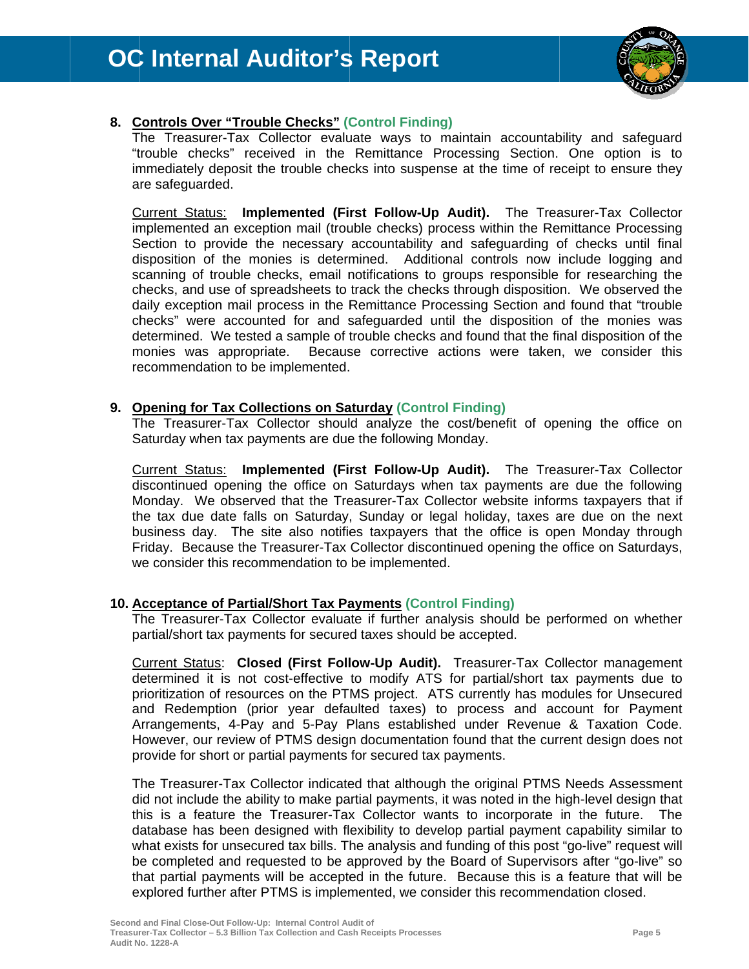

#### 8. Controls Over "Trouble Checks" (Control Finding)

The Treasurer-Tax Collector evaluate ways to maintain accountability and safequard "trouble checks" received in the Remittance Processing Section. One option is to immediately deposit the trouble checks into suspense at the time of receipt to ensure they are safeguarded.

Current Status: Implemented (First Follow-Up Audit). The Treasurer-Tax Collector implemented an exception mail (trouble checks) process within the Remittance Processing Section to provide the necessary accountability and safeguarding of checks until final disposition of the monies is determined. Additional controls now include logging and scanning of trouble checks, email notifications to groups responsible for researching the checks, and use of spreadsheets to track the checks through disposition. We observed the daily exception mail process in the Remittance Processing Section and found that "trouble" checks" were accounted for and safeguarded until the disposition of the monies was determined. We tested a sample of trouble checks and found that the final disposition of the monies was appropriate. Because corrective actions were taken, we consider this recommendation to be implemented.

#### 9. Opening for Tax Collections on Saturday (Control Finding)

The Treasurer-Tax Collector should analyze the cost/benefit of opening the office on Saturday when tax payments are due the following Monday.

Implemented (First Follow-Up Audit). The Treasurer-Tax Collector **Current Status:** discontinued opening the office on Saturdays when tax payments are due the following Monday. We observed that the Treasurer-Tax Collector website informs taxpayers that if the tax due date falls on Saturday, Sunday or legal holiday, taxes are due on the next business day. The site also notifies taxpayers that the office is open Monday through Friday. Because the Treasurer-Tax Collector discontinued opening the office on Saturdays, we consider this recommendation to be implemented.

#### 10. Acceptance of Partial/Short Tax Payments (Control Finding)

The Treasurer-Tax Collector evaluate if further analysis should be performed on whether partial/short tax payments for secured taxes should be accepted.

Current Status: Closed (First Follow-Up Audit). Treasurer-Tax Collector management determined it is not cost-effective to modify ATS for partial/short tax payments due to prioritization of resources on the PTMS project. ATS currently has modules for Unsecured and Redemption (prior year defaulted taxes) to process and account for Payment Arrangements, 4-Pay and 5-Pay Plans established under Revenue & Taxation Code. However, our review of PTMS design documentation found that the current design does not provide for short or partial payments for secured tax payments.

The Treasurer-Tax Collector indicated that although the original PTMS Needs Assessment did not include the ability to make partial payments, it was noted in the high-level design that this is a feature the Treasurer-Tax Collector wants to incorporate in the future. The database has been designed with flexibility to develop partial payment capability similar to what exists for unsecured tax bills. The analysis and funding of this post "go-live" request will be completed and requested to be approved by the Board of Supervisors after "go-live" so that partial payments will be accepted in the future. Because this is a feature that will be explored further after PTMS is implemented, we consider this recommendation closed.